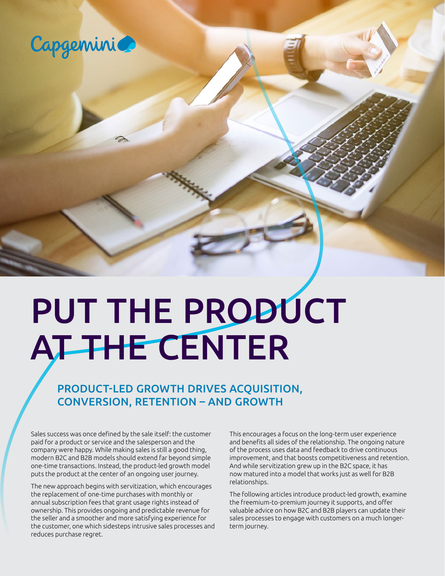

# PUT THE PRODUCT AT THE CENTER

PRODUCT-LED GROWTH DRIVES ACQUISITION, CONVERSION, RETENTION – AND GROWTH

Sales success was once defined by the sale itself: the customer paid for a product or service and the salesperson and the company were happy. While making sales is still a good thing, modern B2C and B2B models should extend far beyond simple one-time transactions. Instead, the product-led growth model puts the product at the center of an ongoing user journey.

The new approach begins with servitization, which encourages the replacement of one-time purchases with monthly or annual subscription fees that grant usage rights instead of ownership. This provides ongoing and predictable revenue for the seller and a smoother and more satisfying experience for the customer, one which sidesteps intrusive sales processes and reduces purchase regret.

This encourages a focus on the long-term user experience and benefits all sides of the relationship. The ongoing nature of the process uses data and feedback to drive continuous improvement, and that boosts competitiveness and retention. And while servitization grew up in the B2C space, it has now matured into a model that works just as well for B2B relationships.

The following articles introduce product-led growth, examine the freemium-to-premium journey it supports, and offer valuable advice on how B2C and B2B players can update their sales processes to engage with customers on a much longerterm journey.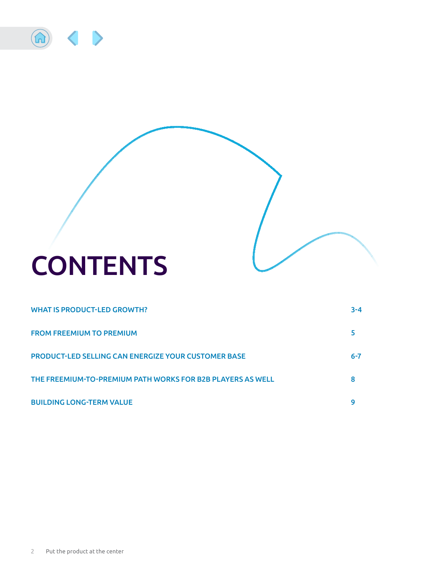

### **CONTENTS**

| <b>WHAT IS PRODUCT-LED GROWTH?</b>                         | $3 - 4$ |
|------------------------------------------------------------|---------|
| <b>FROM FREEMIUM TO PREMIUM</b>                            |         |
| <b>PRODUCT-LED SELLING CAN ENERGIZE YOUR CUSTOMER BASE</b> | $6 - 7$ |
| THE FREEMIUM-TO-PREMIUM PATH WORKS FOR B2B PLAYERS AS WELL | 8       |
| <b>BUILDING LONG-TERM VALUE</b>                            | g       |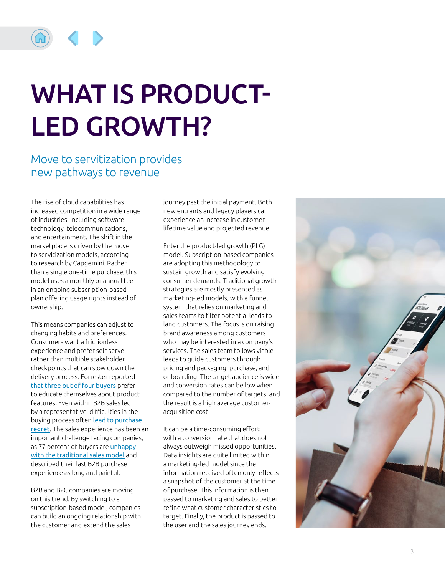<span id="page-2-0"></span>

### WHAT IS PRODUCT-LED GROWTH?

### Move to servitization provides new pathways to revenue

The rise of cloud capabilities has increased competition in a wide range of industries, including software technology, telecommunications, and entertainment. The shift in the marketplace is driven by the move to servitization models, according to research by Capgemini. Rather than a single one-time purchase, this model uses a monthly or annual fee in an ongoing subscription-based plan offering usage rights instead of ownership.

This means companies can adjust to changing habits and preferences. Consumers want a frictionless experience and prefer self-serve rather than multiple stakeholder checkpoints that can slow down the delivery process. Forrester reported [that three out of four buyers](https://www.forrester.com/blogs/16-02-10-how_self_service_research_will_change_b2b_marketing/\) prefer to educate themselves about product features. Even within B2B sales led by a representative, difficulties in the buying process often [lead to purchase](https://blogs.gartner.com/hank-barnes/2018/09/04/purchase-regret-the-bane-of-land-and-expand-strategies/) [regret](https://blogs.gartner.com/hank-barnes/2018/09/04/purchase-regret-the-bane-of-land-and-expand-strategies/). The sales experience has been an important challenge facing companies, as 77 percent of buyers are [unhappy](https://www.gomodus.com/blog/77-say-making-a-purchase-is-too-difficult-smart-marketers-are-using-that-to-their-advantage) [with the traditional sales model](https://www.gomodus.com/blog/77-say-making-a-purchase-is-too-difficult-smart-marketers-are-using-that-to-their-advantage) and described their last B2B purchase experience as long and painful.

B2B and B2C companies are moving on this trend. By switching to a subscription-based model, companies can build an ongoing relationship with the customer and extend the sales

journey past the initial payment. Both new entrants and legacy players can experience an increase in customer lifetime value and projected revenue.

Enter the product-led growth (PLG) model. Subscription-based companies are adopting this methodology to sustain growth and satisfy evolving consumer demands. Traditional growth strategies are mostly presented as marketing-led models, with a funnel system that relies on marketing and sales teams to filter potential leads to land customers. The focus is on raising brand awareness among customers who may be interested in a company's services. The sales team follows viable leads to guide customers through pricing and packaging, purchase, and onboarding. The target audience is wide and conversion rates can be low when compared to the number of targets, and the result is a high average customeracquisition cost.

It can be a time-consuming effort with a conversion rate that does not always outweigh missed opportunities. Data insights are quite limited within a marketing-led model since the information received often only reflects a snapshot of the customer at the time of purchase. This information is then passed to marketing and sales to better refine what customer characteristics to target. Finally, the product is passed to the user and the sales journey ends.

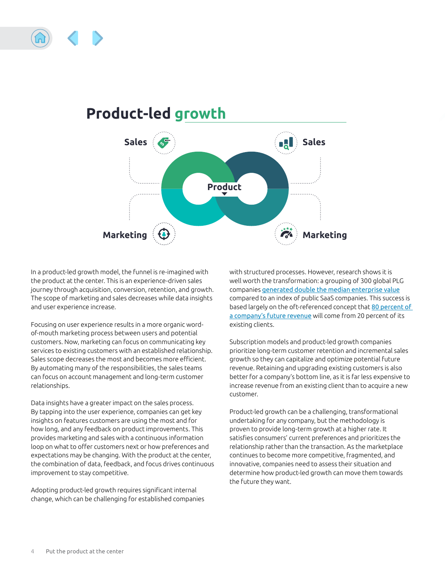



#### In a product-led growth model, the funnel is re-imagined with the product at the center. This is an experience-driven sales journey through acquisition, conversion, retention, and growth. The scope of marketing and sales decreases while data insights and user experience increase.

Focusing on user experience results in a more organic wordof-mouth marketing process between users and potential customers. Now, marketing can focus on communicating key services to existing customers with an established relationship. Sales scope decreases the most and becomes more efficient. By automating many of the responsibilities, the sales teams can focus on account management and long-term customer relationships.

Data insights have a greater impact on the sales process. By tapping into the user experience, companies can get key insights on features customers are using the most and for how long, and any feedback on product improvements. This provides marketing and sales with a continuous information loop on what to offer customers next or how preferences and expectations may be changing. With the product at the center, the combination of data, feedback, and focus drives continuous improvement to stay competitive.

Adopting product-led growth requires significant internal change, which can be challenging for established companies with structured processes. However, research shows it is well worth the transformation: a grouping of 300 global PLG companies [generated double the median enterprise value](https://clearbit.com/resources/reports/product-led-growth-companies) compared to an index of public SaaS companies. This success is based largely on the oft-referenced concept that [80 percent of](https://www.investopedia.com/terms/1/80-20-rule.asp)  [a company's future revenue](https://www.investopedia.com/terms/1/80-20-rule.asp) will come from 20 percent of its existing clients.

Subscription models and product-led growth companies prioritize long-term customer retention and incremental sales growth so they can capitalize and optimize potential future revenue. Retaining and upgrading existing customers is also better for a company's bottom line, as it is far less expensive to increase revenue from an existing client than to acquire a new customer.

Product-led growth can be a challenging, transformational undertaking for any company, but the methodology is proven to provide long-term growth at a higher rate. It satisfies consumers' current preferences and prioritizes the relationship rather than the transaction. As the marketplace continues to become more competitive, fragmented, and innovative, companies need to assess their situation and determine how product-led growth can move them towards the future they want.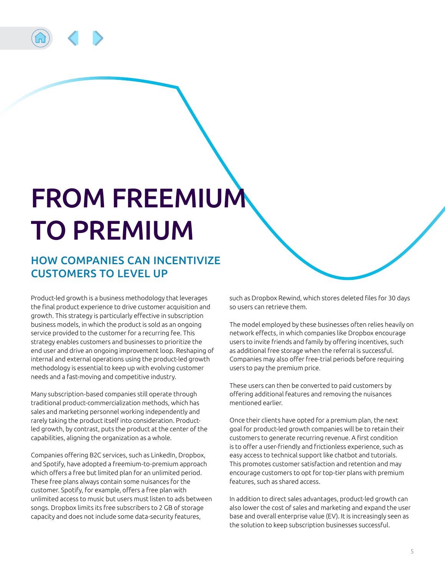<span id="page-4-0"></span>

### FROM FREEMIUM TO PREMIUM

#### HOW COMPANIES CAN INCENTIVIZE CUSTOMERS TO LEVEL UP

Product-led growth is a business methodology that leverages the final product experience to drive customer acquisition and growth. This strategy is particularly effective in subscription business models, in which the product is sold as an ongoing service provided to the customer for a recurring fee. This strategy enables customers and businesses to prioritize the end user and drive an ongoing improvement loop. Reshaping of internal and external operations using the product-led growth methodology is essential to keep up with evolving customer needs and a fast-moving and competitive industry.

Many subscription-based companies still operate through traditional product-commercialization methods, which has sales and marketing personnel working independently and rarely taking the product itself into consideration. Productled growth, by contrast, puts the product at the center of the capabilities, aligning the organization as a whole.

Companies offering B2C services, such as LinkedIn, Dropbox, and Spotify, have adopted a freemium-to-premium approach which offers a free but limited plan for an unlimited period. These free plans always contain some nuisances for the customer. Spotify, for example, offers a free plan with unlimited access to music but users must listen to ads between songs. Dropbox limits its free subscribers to 2 GB of storage capacity and does not include some data-security features,

such as Dropbox Rewind, which stores deleted files for 30 days so users can retrieve them.

The model employed by these businesses often relies heavily on network effects, in which companies like Dropbox encourage users to invite friends and family by offering incentives, such as additional free storage when the referral is successful. Companies may also offer free-trial periods before requiring users to pay the premium price.

These users can then be converted to paid customers by offering additional features and removing the nuisances mentioned earlier.

Once their clients have opted for a premium plan, the next goal for product-led growth companies will be to retain their customers to generate recurring revenue. A first condition is to offer a user-friendly and frictionless experience, such as easy access to technical support like chatbot and tutorials. This promotes customer satisfaction and retention and may encourage customers to opt for top-tier plans with premium features, such as shared access.

In addition to direct sales advantages, product-led growth can also lower the cost of sales and marketing and expand the user base and overall enterprise value (EV). It is increasingly seen as the solution to keep subscription businesses successful.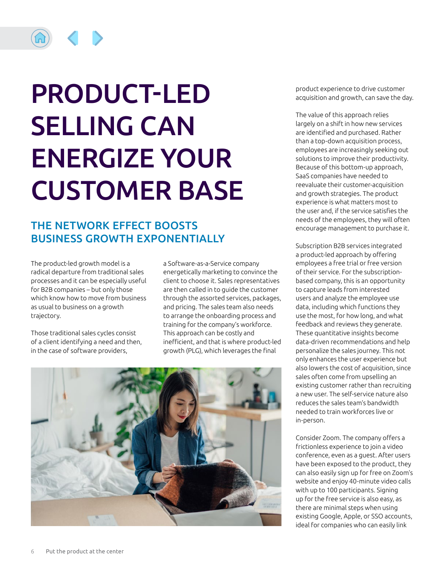<span id="page-5-0"></span>

## PRODUCT-LED SELLING CAN ENERGIZE YOUR CUSTOMER BASE

#### THE NETWORK EFFECT BOOSTS BUSINESS GROWTH EXPONENTIALLY

The product-led growth model is a radical departure from traditional sales processes and it can be especially useful for B2B companies – but only those which know how to move from business as usual to business on a growth trajectory.

Those traditional sales cycles consist of a client identifying a need and then, in the case of software providers,

a Software-as-a-Service company energetically marketing to convince the client to choose it. Sales representatives are then called in to guide the customer through the assorted services, packages, and pricing. The sales team also needs to arrange the onboarding process and training for the company's workforce. This approach can be costly and inefficient, and that is where product-led growth (PLG), which leverages the final



product experience to drive customer acquisition and growth, can save the day.

The value of this approach relies largely on a shift in how new services are identified and purchased. Rather than a top-down acquisition process, employees are increasingly seeking out solutions to improve their productivity. Because of this bottom-up approach, SaaS companies have needed to reevaluate their customer-acquisition and growth strategies. The product experience is what matters most to the user and, if the service satisfies the needs of the employees, they will often encourage management to purchase it.

Subscription B2B services integrated a product-led approach by offering employees a free trial or free version of their service. For the subscriptionbased company, this is an opportunity to capture leads from interested users and analyze the employee use data, including which functions they use the most, for how long, and what feedback and reviews they generate. These quantitative insights become data-driven recommendations and help personalize the sales journey. This not only enhances the user experience but also lowers the cost of acquisition, since sales often come from upselling an existing customer rather than recruiting a new user. The self-service nature also reduces the sales team's bandwidth needed to train workforces live or in-person.

Consider Zoom. The company offers a frictionless experience to join a video conference, even as a guest. After users have been exposed to the product, they can also easily sign up for free on Zoom's website and enjoy 40-minute video calls with up to 100 participants. Signing up for the free service is also easy, as there are minimal steps when using existing Google, Apple, or SSO accounts, ideal for companies who can easily link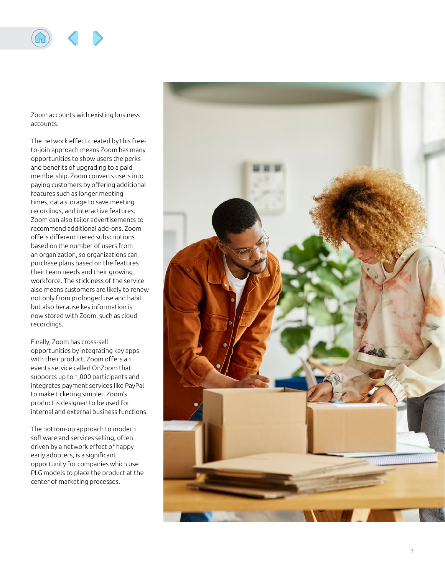

Zoom accounts with existing business accounts.

The network effect created by this freeto-join approach means Zoom has many opportunities to show users the perks and benefits of upgrading to a paid membership. Zoom converts users into paying customers by offering additional features such as longer meeting times, data storage to save meeting recordings, and interactive features. Zoom can also tailor advertisements to recommend additional add-ons. Zoom offers different tiered subscriptions based on the number of users from an organization, so organizations can purchase plans based on the features their team needs and their growing workforce. The stickiness of the service also means customers are likely to renew not only from prolonged use and habit but also because key information is now stored with Zoom, such as cloud recordings.

Finally, Zoom has cross-sell opportunities by integrating key apps with their product. Zoom offers an events service called OnZoom that supports up to 1,000 participants and integrates payment services like PayPal to make ticketing simpler. Zoom's product is designed to be used for internal and external business functions.

The bottom-up approach to modern software and services selling, often driven by a network effect of happy early adopters, is a significant opportunity for companies which use PLG models to place the product at the center of marketing processes.

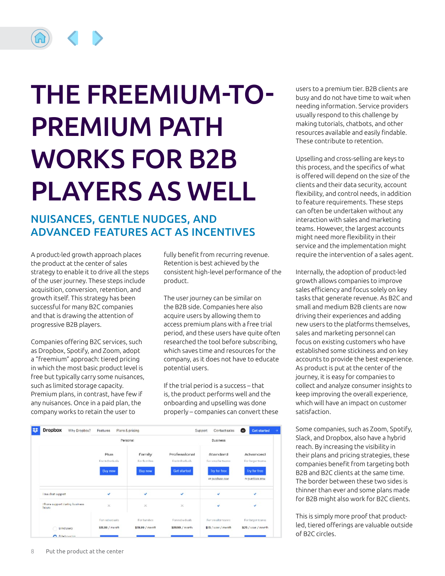## <span id="page-7-0"></span>THE FREEMIUM-TO-PREMIUM PATH WORKS FOR B2B PLAYERS AS WELL

#### NUISANCES, GENTLE NUDGES, AND ADVANCED FEATURES ACT AS INCENTIVES

A product-led growth approach places the product at the center of sales strategy to enable it to drive all the steps of the user journey. These steps include acquisition, conversion, retention, and growth itself. This strategy has been successful for many B2C companies and that is drawing the attention of progressive B2B players.

Companies offering B2C services, such as Dropbox, Spotify, and Zoom, adopt a "freemium" approach: tiered pricing in which the most basic product level is free but typically carry some nuisances, such as limited storage capacity. Premium plans, in contrast, have few if any nuisances. Once in a paid plan, the company works to retain the user to

fully benefit from recurring revenue. Retention is best achieved by the consistent high-level performance of the product.

The user journey can be similar on the B2B side. Companies here also acquire users by allowing them to access premium plans with a free trial period, and these users have quite often researched the tool before subscribing, which saves time and resources for the company, as it does not have to educate potential users.

If the trial period is a success – that is, the product performs well and the onboarding and upselling was done properly – companies can convert these



users to a premium tier. B2B clients are busy and do not have time to wait when needing information. Service providers usually respond to this challenge by making tutorials, chatbots, and other resources available and easily findable. These contribute to retention.

Upselling and cross-selling are keys to this process, and the specifics of what is offered will depend on the size of the clients and their data security, account flexibility, and control needs, in addition to feature requirements. These steps can often be undertaken without any interaction with sales and marketing teams. However, the largest accounts might need more flexibility in their service and the implementation might require the intervention of a sales agent.

Internally, the adoption of product-led growth allows companies to improve sales efficiency and focus solely on key tasks that generate revenue. As B2C and small and medium B2B clients are now driving their experiences and adding new users to the platforms themselves, sales and marketing personnel can focus on existing customers who have established some stickiness and on key accounts to provide the best experience. As product is put at the center of the journey, it is easy for companies to collect and analyze consumer insights to keep improving the overall experience, which will have an impact on customer satisfaction.

Some companies, such as Zoom, Spotify, Slack, and Dropbox, also have a hybrid reach. By increasing the visibility in their plans and pricing strategies, these companies benefit from targeting both B2B and B2C clients at the same time. The border between these two sides is thinner than ever and some plans made for B2B might also work for B2C clients.

This is simply more proof that productled, tiered offerings are valuable outside of B2C circles.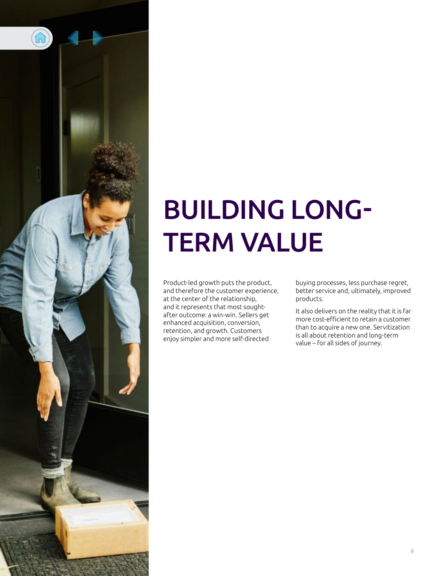<span id="page-8-0"></span>

### BUILDING LONG-TERM VALUE

Product-led growth puts the product, and therefore the customer experience, at the center of the relationship, and it represents that most soughtafter outcome: a win-win. Sellers get enhanced acquisition, conversion, retention, and growth. Customers enjoy simpler and more self-directed

buying processes, less purchase regret, better service and, ultimately, improved products.

It also delivers on the reality that it is far more cost-efficient to retain a customer than to acquire a new one. Servitization is all about retention and long-term value – for all sides of journey.